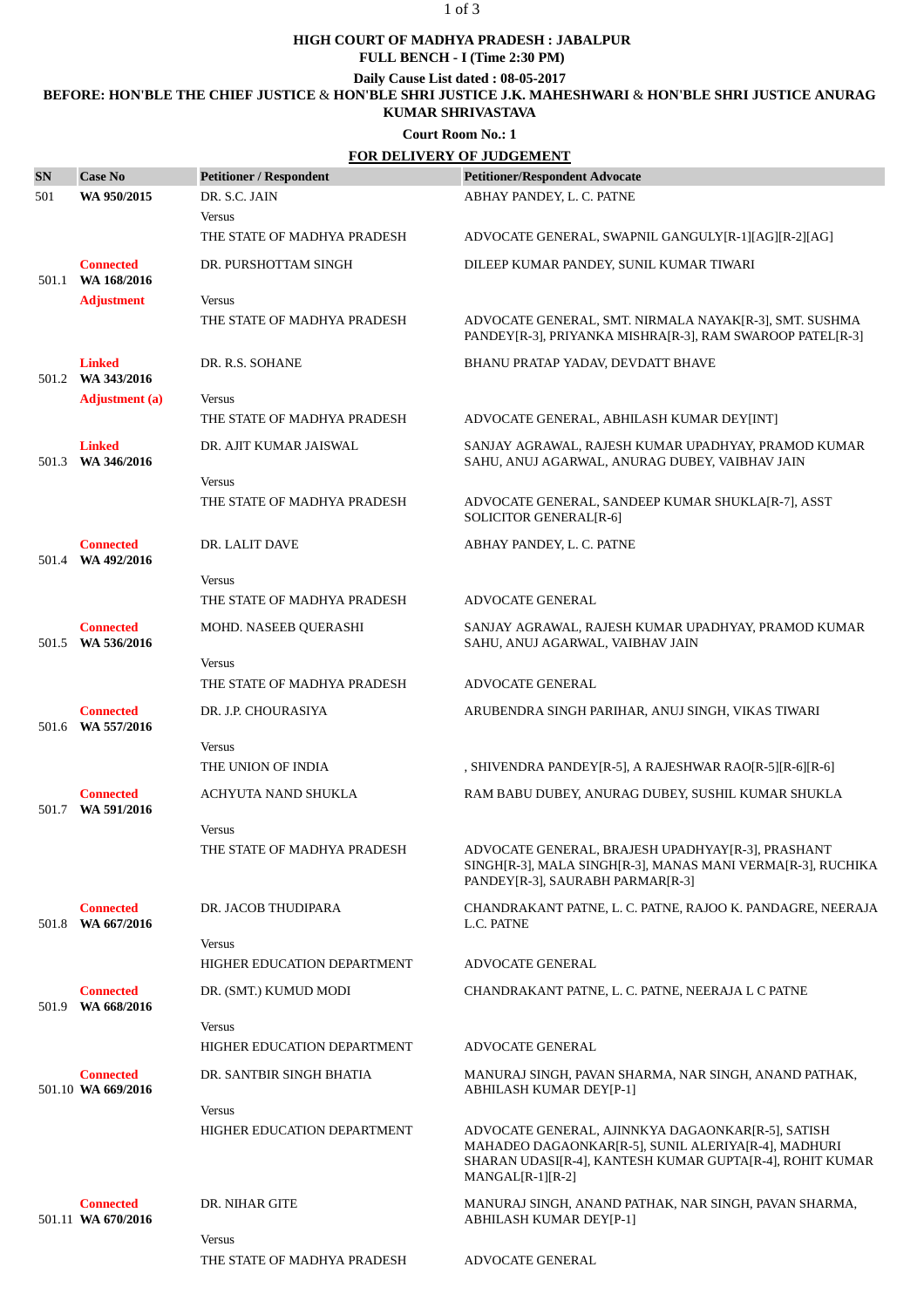#### 1 of 3

### **HIGH COURT OF MADHYA PRADESH : JABALPUR**

**FULL BENCH - I (Time 2:30 PM)**

**Daily Cause List dated : 08-05-2017**

## **BEFORE: HON'BLE THE CHIEF JUSTICE** & **HON'BLE SHRI JUSTICE J.K. MAHESHWARI** & **HON'BLE SHRI JUSTICE ANURAG**

## **KUMAR SHRIVASTAVA**

**Court Room No.: 1**

|           | <b>FOR DELIVERY OF JUDGEMENT</b>       |                                              |                                                                                                                                                                                            |  |
|-----------|----------------------------------------|----------------------------------------------|--------------------------------------------------------------------------------------------------------------------------------------------------------------------------------------------|--|
| <b>SN</b> | <b>Case No</b>                         | <b>Petitioner / Respondent</b>               | <b>Petitioner/Respondent Advocate</b>                                                                                                                                                      |  |
| 501       | WA 950/2015                            | DR. S.C. JAIN                                | ABHAY PANDEY, L. C. PATNE                                                                                                                                                                  |  |
|           |                                        | <b>Versus</b><br>THE STATE OF MADHYA PRADESH | ADVOCATE GENERAL, SWAPNIL GANGULY[R-1][AG][R-2][AG]                                                                                                                                        |  |
|           | <b>Connected</b><br>501.1 WA 168/2016  | DR. PURSHOTTAM SINGH                         | DILEEP KUMAR PANDEY, SUNIL KUMAR TIWARI                                                                                                                                                    |  |
|           | <b>Adjustment</b>                      | <b>Versus</b>                                |                                                                                                                                                                                            |  |
|           |                                        | THE STATE OF MADHYA PRADESH                  | ADVOCATE GENERAL, SMT. NIRMALA NAYAK[R-3], SMT. SUSHMA<br>PANDEY[R-3], PRIYANKA MISHRA[R-3], RAM SWAROOP PATEL[R-3]                                                                        |  |
| 501.2     | <b>Linked</b><br>WA 343/2016           | DR. R.S. SOHANE                              | BHANU PRATAP YADAV, DEVDATT BHAVE                                                                                                                                                          |  |
|           | <b>Adjustment</b> (a)                  | <b>Versus</b>                                |                                                                                                                                                                                            |  |
|           |                                        | THE STATE OF MADHYA PRADESH                  | ADVOCATE GENERAL, ABHILASH KUMAR DEY[INT]                                                                                                                                                  |  |
| 501.3     | <b>Linked</b><br>WA 346/2016           | DR. AJIT KUMAR JAISWAL                       | SANJAY AGRAWAL, RAJESH KUMAR UPADHYAY, PRAMOD KUMAR<br>SAHU, ANUJ AGARWAL, ANURAG DUBEY, VAIBHAV JAIN                                                                                      |  |
|           |                                        | <b>Versus</b>                                |                                                                                                                                                                                            |  |
|           |                                        | THE STATE OF MADHYA PRADESH                  | ADVOCATE GENERAL, SANDEEP KUMAR SHUKLA[R-7], ASST<br>SOLICITOR GENERAL[R-6]                                                                                                                |  |
|           | <b>Connected</b><br>501.4 WA 492/2016  | DR. LALIT DAVE                               | ABHAY PANDEY, L. C. PATNE                                                                                                                                                                  |  |
|           |                                        | <b>Versus</b>                                |                                                                                                                                                                                            |  |
|           |                                        | THE STATE OF MADHYA PRADESH                  | <b>ADVOCATE GENERAL</b>                                                                                                                                                                    |  |
| 501.5     | <b>Connected</b><br>WA 536/2016        | MOHD. NASEEB QUERASHI                        | SANJAY AGRAWAL, RAJESH KUMAR UPADHYAY, PRAMOD KUMAR<br>SAHU, ANUJ AGARWAL, VAIBHAV JAIN                                                                                                    |  |
|           |                                        | <b>Versus</b><br>THE STATE OF MADHYA PRADESH | <b>ADVOCATE GENERAL</b>                                                                                                                                                                    |  |
|           | <b>Connected</b><br>501.6 WA 557/2016  | DR. J.P. CHOURASIYA                          | ARUBENDRA SINGH PARIHAR, ANUJ SINGH, VIKAS TIWARI                                                                                                                                          |  |
|           |                                        | <b>Versus</b>                                |                                                                                                                                                                                            |  |
|           |                                        | THE UNION OF INDIA                           | , SHIVENDRA PANDEY[R-5], A RAJESHWAR RAO[R-5][R-6][R-6]                                                                                                                                    |  |
| 501.7     | <b>Connected</b><br>WA 591/2016        | ACHYUTA NAND SHUKLA                          | RAM BABU DUBEY, ANURAG DUBEY, SUSHIL KUMAR SHUKLA                                                                                                                                          |  |
|           |                                        | <b>Versus</b>                                |                                                                                                                                                                                            |  |
|           |                                        | THE STATE OF MADHYA PRADESH                  | ADVOCATE GENERAL, BRAJESH UPADHYAY[R-3], PRASHANT<br>SINGH[R-3], MALA SINGH[R-3], MANAS MANI VERMA[R-3], RUCHIKA<br>PANDEY[R-3], SAURABH PARMAR[R-3]                                       |  |
| 501.8     | <b>Connected</b><br>WA 667/2016        | DR. JACOB THUDIPARA                          | CHANDRAKANT PATNE, L. C. PATNE, RAJOO K. PANDAGRE, NEERAJA<br>L.C. PATNE                                                                                                                   |  |
|           |                                        | <b>Versus</b><br>HIGHER EDUCATION DEPARTMENT | <b>ADVOCATE GENERAL</b>                                                                                                                                                                    |  |
| 501.9     | <b>Connected</b><br>WA 668/2016        | DR. (SMT.) KUMUD MODI                        | CHANDRAKANT PATNE, L. C. PATNE, NEERAJA L C PATNE                                                                                                                                          |  |
|           |                                        | <b>Versus</b>                                |                                                                                                                                                                                            |  |
|           |                                        | HIGHER EDUCATION DEPARTMENT                  | ADVOCATE GENERAL                                                                                                                                                                           |  |
|           | <b>Connected</b><br>501.10 WA 669/2016 | DR. SANTBIR SINGH BHATIA                     | MANURAJ SINGH, PAVAN SHARMA, NAR SINGH, ANAND PATHAK,<br>ABHILASH KUMAR DEY[P-1]                                                                                                           |  |
|           |                                        | <b>Versus</b>                                |                                                                                                                                                                                            |  |
|           |                                        | HIGHER EDUCATION DEPARTMENT                  | ADVOCATE GENERAL, AJINNKYA DAGAONKAR[R-5], SATISH<br>MAHADEO DAGAONKAR[R-5], SUNIL ALERIYA[R-4], MADHURI<br>SHARAN UDASI[R-4], KANTESH KUMAR GUPTA[R-4], ROHIT KUMAR<br>$MANGAL[R-1][R-2]$ |  |
|           | <b>Connected</b><br>501.11 WA 670/2016 | DR. NIHAR GITE                               | MANURAJ SINGH, ANAND PATHAK, NAR SINGH, PAVAN SHARMA,<br>ABHILASH KUMAR DEY[P-1]                                                                                                           |  |
|           |                                        | <b>Versus</b>                                |                                                                                                                                                                                            |  |
|           |                                        | THE STATE OF MADHYA PRADESH                  | ADVOCATE GENERAL                                                                                                                                                                           |  |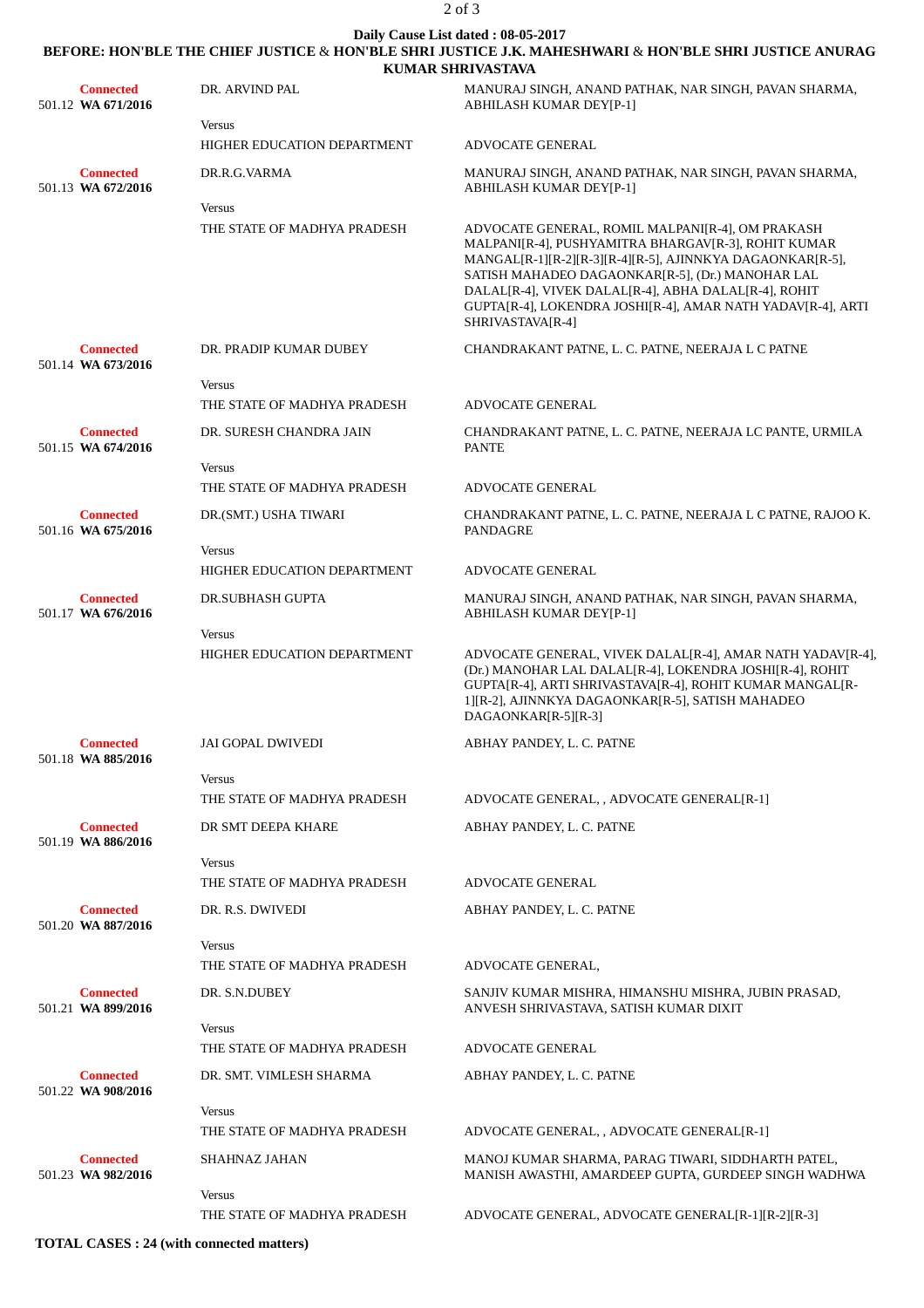#### 2 of 3

# **Daily Cause List dated : 08-05-2017 BEFORE: HON'BLE THE CHIEF JUSTICE** & **HON'BLE SHRI JUSTICE J.K. MAHESHWARI** & **HON'BLE SHRI JUSTICE ANURAG**

|                                        | <b>KUMAR SHRIVASTAVA</b>                            |                                                                                                                                                                                                                                                                                                                                                                     |  |
|----------------------------------------|-----------------------------------------------------|---------------------------------------------------------------------------------------------------------------------------------------------------------------------------------------------------------------------------------------------------------------------------------------------------------------------------------------------------------------------|--|
| <b>Connected</b><br>501.12 WA 671/2016 | DR. ARVIND PAL                                      | MANURAJ SINGH, ANAND PATHAK, NAR SINGH, PAVAN SHARMA,<br><b>ABHILASH KUMAR DEY[P-1]</b>                                                                                                                                                                                                                                                                             |  |
|                                        | <b>Versus</b><br>HIGHER EDUCATION DEPARTMENT        |                                                                                                                                                                                                                                                                                                                                                                     |  |
|                                        |                                                     | <b>ADVOCATE GENERAL</b>                                                                                                                                                                                                                                                                                                                                             |  |
| <b>Connected</b><br>501.13 WA 672/2016 | DR.R.G.VARMA<br><b>Versus</b>                       | MANURAJ SINGH, ANAND PATHAK, NAR SINGH, PAVAN SHARMA,<br><b>ABHILASH KUMAR DEY[P-1]</b>                                                                                                                                                                                                                                                                             |  |
|                                        | THE STATE OF MADHYA PRADESH                         | ADVOCATE GENERAL, ROMIL MALPANI[R-4], OM PRAKASH<br>MALPANI[R-4], PUSHYAMITRA BHARGAV[R-3], ROHIT KUMAR<br>MANGAL[R-1][R-2][R-3][R-4][R-5], AJINNKYA DAGAONKAR[R-5],<br>SATISH MAHADEO DAGAONKAR[R-5], (Dr.) MANOHAR LAL<br>DALAL[R-4], VIVEK DALAL[R-4], ABHA DALAL[R-4], ROHIT<br>GUPTA[R-4], LOKENDRA JOSHI[R-4], AMAR NATH YADAV[R-4], ARTI<br>SHRIVASTAVA[R-4] |  |
| <b>Connected</b><br>501.14 WA 673/2016 | DR. PRADIP KUMAR DUBEY                              | CHANDRAKANT PATNE, L. C. PATNE, NEERAJA L C PATNE                                                                                                                                                                                                                                                                                                                   |  |
|                                        | <b>Versus</b><br>THE STATE OF MADHYA PRADESH        | <b>ADVOCATE GENERAL</b>                                                                                                                                                                                                                                                                                                                                             |  |
| <b>Connected</b><br>501.15 WA 674/2016 | DR. SURESH CHANDRA JAIN                             | CHANDRAKANT PATNE, L. C. PATNE, NEERAJA LC PANTE, URMILA<br><b>PANTE</b>                                                                                                                                                                                                                                                                                            |  |
|                                        | <b>Versus</b><br>THE STATE OF MADHYA PRADESH        | <b>ADVOCATE GENERAL</b>                                                                                                                                                                                                                                                                                                                                             |  |
| <b>Connected</b>                       | DR.(SMT.) USHA TIWARI                               | CHANDRAKANT PATNE, L. C. PATNE, NEERAJA L C PATNE, RAJOO K.                                                                                                                                                                                                                                                                                                         |  |
| 501.16 WA 675/2016                     |                                                     | <b>PANDAGRE</b>                                                                                                                                                                                                                                                                                                                                                     |  |
|                                        | <b>Versus</b><br><b>HIGHER EDUCATION DEPARTMENT</b> | <b>ADVOCATE GENERAL</b>                                                                                                                                                                                                                                                                                                                                             |  |
| <b>Connected</b><br>501.17 WA 676/2016 | <b>DR.SUBHASH GUPTA</b>                             | MANURAJ SINGH, ANAND PATHAK, NAR SINGH, PAVAN SHARMA,<br>ABHILASH KUMAR DEY[P-1]                                                                                                                                                                                                                                                                                    |  |
|                                        | <b>Versus</b><br>HIGHER EDUCATION DEPARTMENT        | ADVOCATE GENERAL, VIVEK DALAL[R-4], AMAR NATH YADAV[R-4],<br>(Dr.) MANOHAR LAL DALAL[R-4], LOKENDRA JOSHI[R-4], ROHIT<br>GUPTA[R-4], ARTI SHRIVASTAVA[R-4], ROHIT KUMAR MANGAL[R-<br>1][R-2], AJINNKYA DAGAONKAR[R-5], SATISH MAHADEO<br>DAGAONKAR[R-5][R-3]                                                                                                        |  |
| <b>Connected</b><br>501.18 WA 885/2016 | <b>JAI GOPAL DWIVEDI</b>                            | ABHAY PANDEY, L. C. PATNE                                                                                                                                                                                                                                                                                                                                           |  |
|                                        | <b>Versus</b>                                       |                                                                                                                                                                                                                                                                                                                                                                     |  |
|                                        | THE STATE OF MADHYA PRADESH                         | ADVOCATE GENERAL, , ADVOCATE GENERAL[R-1]                                                                                                                                                                                                                                                                                                                           |  |
| <b>Connected</b><br>501.19 WA 886/2016 | DR SMT DEEPA KHARE                                  | ABHAY PANDEY, L. C. PATNE                                                                                                                                                                                                                                                                                                                                           |  |
|                                        | <b>Versus</b><br>THE STATE OF MADHYA PRADESH        | ADVOCATE GENERAL                                                                                                                                                                                                                                                                                                                                                    |  |
| <b>Connected</b>                       | DR. R.S. DWIVEDI                                    | ABHAY PANDEY, L. C. PATNE                                                                                                                                                                                                                                                                                                                                           |  |
| 501.20 WA 887/2016                     |                                                     |                                                                                                                                                                                                                                                                                                                                                                     |  |
|                                        | <b>Versus</b><br>THE STATE OF MADHYA PRADESH        | ADVOCATE GENERAL,                                                                                                                                                                                                                                                                                                                                                   |  |
| <b>Connected</b><br>501.21 WA 899/2016 | DR. S.N.DUBEY                                       | SANJIV KUMAR MISHRA, HIMANSHU MISHRA, JUBIN PRASAD,<br>ANVESH SHRIVASTAVA, SATISH KUMAR DIXIT                                                                                                                                                                                                                                                                       |  |
|                                        | <b>Versus</b>                                       |                                                                                                                                                                                                                                                                                                                                                                     |  |
|                                        | THE STATE OF MADHYA PRADESH                         | <b>ADVOCATE GENERAL</b>                                                                                                                                                                                                                                                                                                                                             |  |
| <b>Connected</b><br>501.22 WA 908/2016 | DR. SMT. VIMLESH SHARMA                             | ABHAY PANDEY, L. C. PATNE                                                                                                                                                                                                                                                                                                                                           |  |
|                                        | <b>Versus</b><br>THE STATE OF MADHYA PRADESH        | ADVOCATE GENERAL, , ADVOCATE GENERAL[R-1]                                                                                                                                                                                                                                                                                                                           |  |
| <b>Connected</b><br>501.23 WA 982/2016 | SHAHNAZ JAHAN                                       | MANOJ KUMAR SHARMA, PARAG TIWARI, SIDDHARTH PATEL,<br>MANISH AWASTHI, AMARDEEP GUPTA, GURDEEP SINGH WADHWA                                                                                                                                                                                                                                                          |  |
|                                        | <b>Versus</b><br>THE STATE OF MADHYA PRADESH        | ADVOCATE GENERAL, ADVOCATE GENERAL [R-1] [R-2] [R-3]                                                                                                                                                                                                                                                                                                                |  |